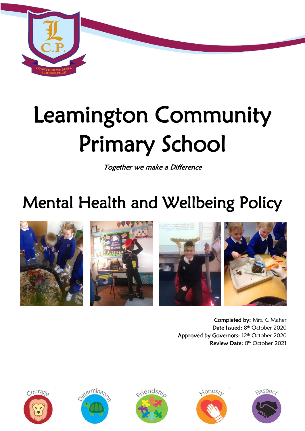

# Leamington Community Primary School

Together we make a Difference

## Mental Health and Wellbeing Policy







Completed by: Mrs. C Maher Date Issued: 8th October 2020 Approved by Governors: 12<sup>th</sup> October 2020 Review Date: 8<sup>th</sup> October 2021









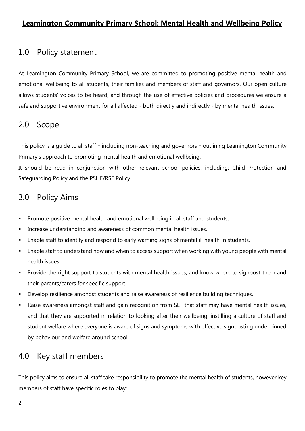#### **Leamington Community Primary School: Mental Health and Wellbeing Policy**

### 1.0 Policy statement

At Leamington Community Primary School, we are committed to promoting positive mental health and emotional wellbeing to all students, their families and members of staff and governors. Our open culture allows students' voices to be heard, and through the use of effective policies and procedures we ensure a safe and supportive environment for all affected - both directly and indirectly - by mental health issues.

## 2.0 Scope

This policy is a guide to all staff – including non-teaching and governors – outlining Leamington Community Primary's approach to promoting mental health and emotional wellbeing.

It should be read in conjunction with other relevant school policies, including: Child Protection and Safeguarding Policy and the PSHE/RSE Policy.

## 3.0 Policy Aims

- Promote positive mental health and emotional wellbeing in all staff and students.
- Increase understanding and awareness of common mental health issues.
- Enable staff to identify and respond to early warning signs of mental ill health in students.
- **Enable staff to understand how and when to access support when working with young people with mental** health issues.
- **Provide the right support to students with mental health issues, and know where to signpost them and** their parents/carers for specific support.
- Develop resilience amongst students and raise awareness of resilience building techniques.
- Raise awareness amongst staff and gain recognition from SLT that staff may have mental health issues, and that they are supported in relation to looking after their wellbeing; instilling a culture of staff and student welfare where everyone is aware of signs and symptoms with effective signposting underpinned by behaviour and welfare around school.

## 4.0 Key staff members

This policy aims to ensure all staff take responsibility to promote the mental health of students, however key members of staff have specific roles to play: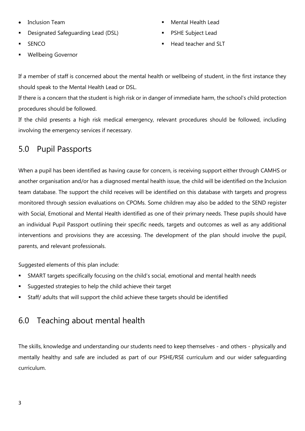- Inclusion Team
- Designated Safeguarding Lead (DSL)
- **SENCO**
- Wellbeing Governor
- Mental Health Lead
- PSHE Subject Lead
- Head teacher and SLT

If a member of staff is concerned about the mental health or wellbeing of student, in the first instance they should speak to the Mental Health Lead or DSL.

If there is a concern that the student is high risk or in danger of immediate harm, the school's child protection procedures should be followed.

If the child presents a high risk medical emergency, relevant procedures should be followed, including involving the emergency services if necessary.

## 5.0 Pupil Passports

When a pupil has been identified as having cause for concern, is receiving support either through CAMHS or another organisation and/or has a diagnosed mental health issue, the child will be identified on the Inclusion team database. The support the child receives will be identified on this database with targets and progress monitored through session evaluations on CPOMs. Some children may also be added to the SEND register with Social, Emotional and Mental Health identified as one of their primary needs. These pupils should have an individual Pupil Passport outlining their specific needs, targets and outcomes as well as any additional interventions and provisions they are accessing. The development of the plan should involve the pupil, parents, and relevant professionals.

Suggested elements of this plan include:

- SMART targets specifically focusing on the child's social, emotional and mental health needs
- Suggested strategies to help the child achieve their target
- Staff/ adults that will support the child achieve these targets should be identified

## 6.0 Teaching about mental health

The skills, knowledge and understanding our students need to keep themselves - and others - physically and mentally healthy and safe are included as part of our PSHE/RSE curriculum and our wider safeguarding curriculum.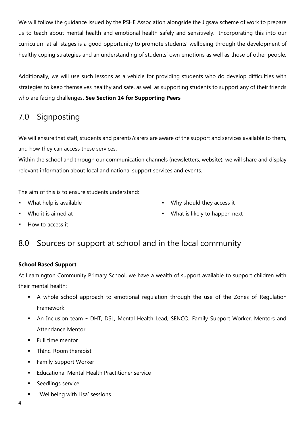We will follow the guidance issued by the PSHE Association alongside the Jigsaw scheme of work to prepare us to teach about mental health and emotional health safely and sensitively. Incorporating this into our curriculum at all stages is a good opportunity to promote students' wellbeing through the development of healthy coping strategies and an understanding of students' own emotions as well as those of other people.

Additionally, we will use such lessons as a vehicle for providing students who do develop difficulties with strategies to keep themselves healthy and safe, as well as supporting students to support any of their friends who are facing challenges. **See Section 14 for Supporting Peers**

## 7.0 Signposting

We will ensure that staff, students and parents/carers are aware of the support and services available to them, and how they can access these services.

Within the school and through our communication channels (newsletters, website), we will share and display relevant information about local and national support services and events.

The aim of this is to ensure students understand:

What help is available

Why should they access it

**Who it is aimed at** 

What is likely to happen next

How to access it

## 8.0 Sources or support at school and in the local community

#### **School Based Support**

At Leamington Community Primary School, we have a wealth of support available to support children with their mental health:

- A whole school approach to emotional regulation through the use of the Zones of Regulation Framework
- An Inclusion team DHT, DSL, Mental Health Lead, SENCO, Family Support Worker, Mentors and Attendance Mentor.
- **Full time mentor**
- ThInc. Room therapist
- **Family Support Worker**
- **Educational Mental Health Practitioner service**
- **Seedlings service**
- 'Wellbeing with Lisa' sessions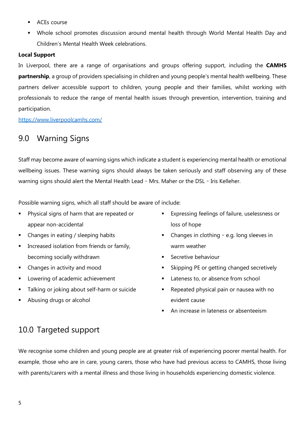- **ACEs** course
- Whole school promotes discussion around mental health through World Mental Health Day and Children's Mental Health Week celebrations.

#### **Local Support**

In Liverpool, there are a range of organisations and groups offering support, including the **CAMHS partnership**, a group of providers specialising in children and young people's mental health wellbeing. These partners deliver accessible support to children, young people and their families, whilst working with professionals to reduce the range of mental health issues through prevention, intervention, training and participation.

<https://www.liverpoolcamhs.com/>

## 9.0 Warning Signs

Staff may become aware of warning signs which indicate a student is experiencing mental health or emotional wellbeing issues. These warning signs should always be taken seriously and staff observing any of these warning signs should alert the Mental Health Lead – Mrs. Maher or the DSL – Iris Kelleher.

Possible warning signs, which all staff should be aware of include:

- **Physical signs of harm that are repeated or** appear non-accidental
- Changes in eating / sleeping habits
- Increased isolation from friends or family, becoming socially withdrawn
- Changes in activity and mood
- **Lowering of academic achievement**
- Talking or joking about self-harm or suicide
- Abusing drugs or alcohol
- Expressing feelings of failure, uselessness or loss of hope
- Changes in clothing e.g. long sleeves in warm weather
- **Secretive behaviour**
- **Skipping PE or getting changed secretively**
- Lateness to, or absence from school
- Repeated physical pain or nausea with no evident cause
- An increase in lateness or absenteeism

## 10.0 Targeted support

We recognise some children and young people are at greater risk of experiencing poorer mental health. For example, those who are in care, young carers, those who have had previous access to CAMHS, those living with parents/carers with a mental illness and those living in households experiencing domestic violence.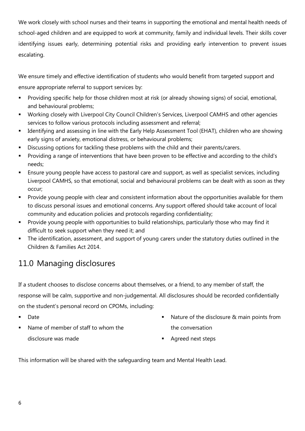We work closely with school nurses and their teams in supporting the emotional and mental health needs of school-aged children and are equipped to work at community, family and individual levels. Their skills cover identifying issues early, determining potential risks and providing early intervention to prevent issues escalating.

We ensure timely and effective identification of students who would benefit from targeted support and ensure appropriate referral to support services by:

- Providing specific help for those children most at risk (or already showing signs) of social, emotional, and behavioural problems;
- Working closely with Liverpool City Council Children's Services, Liverpool CAMHS and other agencies services to follow various protocols including assessment and referral;
- Identifying and assessing in line with the Early Help Assessment Tool (EHAT), children who are showing early signs of anxiety, emotional distress, or behavioural problems;
- Discussing options for tackling these problems with the child and their parents/carers.
- Providing a range of interventions that have been proven to be effective and according to the child's needs;
- Ensure young people have access to pastoral care and support, as well as specialist services, including Liverpool CAMHS, so that emotional, social and behavioural problems can be dealt with as soon as they occur;
- Provide young people with clear and consistent information about the opportunities available for them to discuss personal issues and emotional concerns. Any support offered should take account of local community and education policies and protocols regarding confidentiality;
- Provide young people with opportunities to build relationships, particularly those who may find it difficult to seek support when they need it; and
- The identification, assessment, and support of young carers under the statutory duties outlined in the Children & Families Act 2014.

## 11.0 Managing disclosures

If a student chooses to disclose concerns about themselves, or a friend, to any member of staff, the response will be calm, supportive and non-judgemental. All disclosures should be recorded confidentially on the student's personal record on CPOMs, including:

- **Date**
- Name of member of staff to whom the disclosure was made
- Nature of the disclosure & main points from the conversation
- **Agreed next steps**

This information will be shared with the safeguarding team and Mental Health Lead.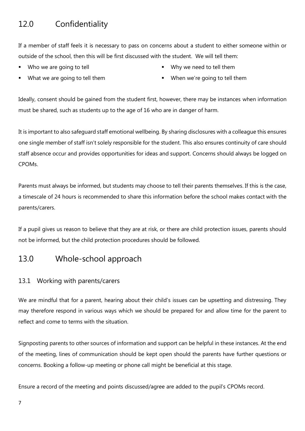## 12.0 Confidentiality

If a member of staff feels it is necessary to pass on concerns about a student to either someone within or outside of the school, then this will be first discussed with the student. We will tell them:

- Who we are going to tell
- What we are going to tell them
- Why we need to tell them
- When we're going to tell them

Ideally, consent should be gained from the student first, however, there may be instances when information must be shared, such as students up to the age of 16 who are in danger of harm.

It is important to also safeguard staff emotional wellbeing. By sharing disclosures with a colleague this ensures one single member of staff isn't solely responsible for the student. This also ensures continuity of care should staff absence occur and provides opportunities for ideas and support. Concerns should always be logged on CPOMs.

Parents must always be informed, but students may choose to tell their parents themselves. If this is the case, a timescale of 24 hours is recommended to share this information before the school makes contact with the parents/carers.

If a pupil gives us reason to believe that they are at risk, or there are child protection issues, parents should not be informed, but the child protection procedures should be followed.

## 13.0 Whole-school approach

#### 13.1 Working with parents/carers

We are mindful that for a parent, hearing about their child's issues can be upsetting and distressing. They may therefore respond in various ways which we should be prepared for and allow time for the parent to reflect and come to terms with the situation.

Signposting parents to other sources of information and support can be helpful in these instances. At the end of the meeting, lines of communication should be kept open should the parents have further questions or concerns. Booking a follow-up meeting or phone call might be beneficial at this stage.

Ensure a record of the meeting and points discussed/agree are added to the pupil's CPOMs record.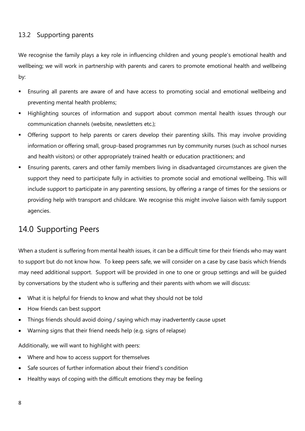#### 13.2 Supporting parents

We recognise the family plays a key role in influencing children and young people's emotional health and wellbeing; we will work in partnership with parents and carers to promote emotional health and wellbeing by:

- Ensuring all parents are aware of and have access to promoting social and emotional wellbeing and preventing mental health problems;
- Highlighting sources of information and support about common mental health issues through our communication channels (website, newsletters etc.);
- Offering support to help parents or carers develop their parenting skills. This may involve providing information or offering small, group-based programmes run by community nurses (such as school nurses and health visitors) or other appropriately trained health or education practitioners; and
- Ensuring parents, carers and other family members living in disadvantaged circumstances are given the support they need to participate fully in activities to promote social and emotional wellbeing. This will include support to participate in any parenting sessions, by offering a range of times for the sessions or providing help with transport and childcare. We recognise this might involve liaison with family support agencies.

## 14.0 Supporting Peers

When a student is suffering from mental health issues, it can be a difficult time for their friends who may want to support but do not know how. To keep peers safe, we will consider on a case by case basis which friends may need additional support. Support will be provided in one to one or group settings and will be guided by conversations by the student who is suffering and their parents with whom we will discuss:

- What it is helpful for friends to know and what they should not be told
- How friends can best support
- Things friends should avoid doing / saying which may inadvertently cause upset
- Warning signs that their friend needs help (e.g. signs of relapse)

Additionally, we will want to highlight with peers:

- Where and how to access support for themselves
- Safe sources of further information about their friend's condition
- Healthy ways of coping with the difficult emotions they may be feeling